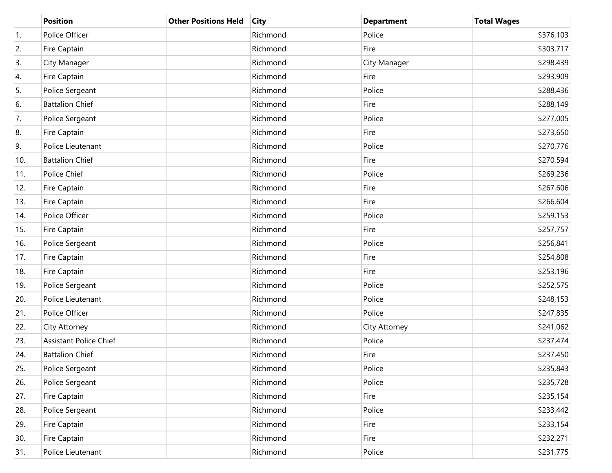|                  | <b>Position</b>               | <b>Other Positions Held</b> | <b>City</b> | <b>Department</b> | <b>Total Wages</b> |
|------------------|-------------------------------|-----------------------------|-------------|-------------------|--------------------|
| $\overline{1}$ . | Police Officer                |                             | Richmond    | Police            | \$376,103          |
| 2.               | Fire Captain                  |                             | Richmond    | Fire              | \$303,717          |
| 3.               | City Manager                  |                             | Richmond    | City Manager      | \$298,439          |
| 4.               | Fire Captain                  |                             | Richmond    | Fire              | \$293,909          |
| 5.               | Police Sergeant               |                             | Richmond    | Police            | \$288,436          |
| 6.               | <b>Battalion Chief</b>        |                             | Richmond    | Fire              | \$288,149          |
| 7.               | Police Sergeant               |                             | Richmond    | Police            | \$277,005          |
| 8.               | Fire Captain                  |                             | Richmond    | Fire              | \$273,650          |
| 9.               | Police Lieutenant             |                             | Richmond    | Police            | \$270,776          |
| 10.              | <b>Battalion Chief</b>        |                             | Richmond    | Fire              | \$270,594          |
| 11.              | Police Chief                  |                             | Richmond    | Police            | \$269,236          |
| 12.              | Fire Captain                  |                             | Richmond    | Fire              | \$267,606          |
| 13.              | Fire Captain                  |                             | Richmond    | Fire              | \$266,604          |
| 14.              | Police Officer                |                             | Richmond    | Police            | \$259,153          |
| 15.              | Fire Captain                  |                             | Richmond    | Fire              | \$257,757          |
| 16.              | Police Sergeant               |                             | Richmond    | Police            | \$256,841          |
| 17.              | Fire Captain                  |                             | Richmond    | Fire              | \$254,808          |
| 18.              | Fire Captain                  |                             | Richmond    | Fire              | \$253,196          |
| 19.              | Police Sergeant               |                             | Richmond    | Police            | \$252,575          |
| 20.              | Police Lieutenant             |                             | Richmond    | Police            | \$248,153          |
| 21.              | Police Officer                |                             | Richmond    | Police            | \$247,835          |
| 22.              | City Attorney                 |                             | Richmond    | City Attorney     | \$241,062          |
| 23.              | <b>Assistant Police Chief</b> |                             | Richmond    | Police            | \$237,474          |
| 24.              | <b>Battalion Chief</b>        |                             | Richmond    | Fire              | \$237,450          |
| 25.              | Police Sergeant               |                             | Richmond    | Police            | \$235,843          |
| 26.              | Police Sergeant               |                             | Richmond    | Police            | \$235,728          |
| 27.              | Fire Captain                  |                             | Richmond    | Fire              | \$235,154          |
| 28.              | Police Sergeant               |                             | Richmond    | Police            | \$233,442          |
| 29.              | Fire Captain                  |                             | Richmond    | Fire              | \$233,154          |
| 30.              | Fire Captain                  |                             | Richmond    | Fire              | \$232,271          |
| 31.              | Police Lieutenant             |                             | Richmond    | Police            | \$231,775          |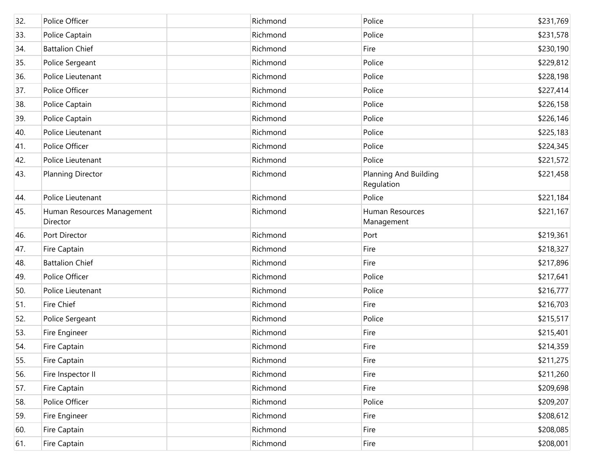| 32. | Police Officer                         | Richmond | Police                              | \$231,769 |
|-----|----------------------------------------|----------|-------------------------------------|-----------|
| 33. | Police Captain                         | Richmond | Police                              | \$231,578 |
| 34. | <b>Battalion Chief</b>                 | Richmond | Fire                                | \$230,190 |
| 35. | Police Sergeant                        | Richmond | Police                              | \$229,812 |
| 36. | Police Lieutenant                      | Richmond | Police                              | \$228,198 |
| 37. | Police Officer                         | Richmond | Police                              | \$227,414 |
| 38. | Police Captain                         | Richmond | Police                              | \$226,158 |
| 39. | Police Captain                         | Richmond | Police                              | \$226,146 |
| 40. | Police Lieutenant                      | Richmond | Police                              | \$225,183 |
| 41. | Police Officer                         | Richmond | Police                              | \$224,345 |
| 42. | Police Lieutenant                      | Richmond | Police                              | \$221,572 |
| 43. | <b>Planning Director</b>               | Richmond | Planning And Building<br>Regulation | \$221,458 |
| 44. | Police Lieutenant                      | Richmond | Police                              | \$221,184 |
| 45. | Human Resources Management<br>Director | Richmond | Human Resources<br>Management       | \$221,167 |
| 46. | Port Director                          | Richmond | Port                                | \$219,361 |
| 47. | Fire Captain                           | Richmond | Fire                                | \$218,327 |
| 48. | <b>Battalion Chief</b>                 | Richmond | Fire                                | \$217,896 |
| 49. | Police Officer                         | Richmond | Police                              | \$217,641 |
| 50. | Police Lieutenant                      | Richmond | Police                              | \$216,777 |
| 51. | <b>Fire Chief</b>                      | Richmond | Fire                                | \$216,703 |
| 52. | Police Sergeant                        | Richmond | Police                              | \$215,517 |
| 53. | Fire Engineer                          | Richmond | Fire                                | \$215,401 |
| 54. | Fire Captain                           | Richmond | Fire                                | \$214,359 |
| 55. | Fire Captain                           | Richmond | Fire                                | \$211,275 |
| 56. | Fire Inspector II                      | Richmond | Fire                                | \$211,260 |
| 57. | Fire Captain                           | Richmond | Fire                                | \$209,698 |
| 58. | Police Officer                         | Richmond | Police                              | \$209,207 |
| 59. | Fire Engineer                          | Richmond | Fire                                | \$208,612 |
| 60. | Fire Captain                           | Richmond | Fire                                | \$208,085 |
| 61. | Fire Captain                           | Richmond | Fire                                | \$208,001 |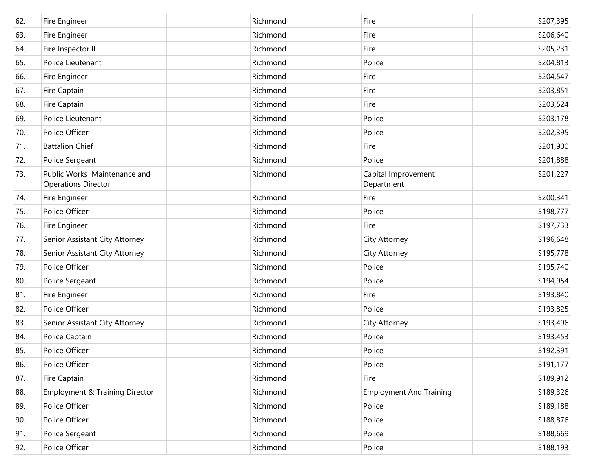| 62. | Fire Engineer                                              | Richmond | Fire                              | \$207,395 |
|-----|------------------------------------------------------------|----------|-----------------------------------|-----------|
| 63. | Fire Engineer                                              | Richmond | Fire                              | \$206,640 |
| 64. | Fire Inspector II                                          | Richmond | Fire                              | \$205,231 |
| 65. | Police Lieutenant                                          | Richmond | Police                            | \$204,813 |
| 66. | Fire Engineer                                              | Richmond | Fire                              | \$204,547 |
| 67. | Fire Captain                                               | Richmond | Fire                              | \$203,851 |
| 68. | Fire Captain                                               | Richmond | Fire                              | \$203,524 |
| 69. | Police Lieutenant                                          | Richmond | Police                            | \$203,178 |
| 70. | Police Officer                                             | Richmond | Police                            | \$202,395 |
| 71. | <b>Battalion Chief</b>                                     | Richmond | Fire                              | \$201,900 |
| 72. | Police Sergeant                                            | Richmond | Police                            | \$201,888 |
| 73. | Public Works Maintenance and<br><b>Operations Director</b> | Richmond | Capital Improvement<br>Department | \$201,227 |
| 74. | Fire Engineer                                              | Richmond | Fire                              | \$200,341 |
| 75. | Police Officer                                             | Richmond | Police                            | \$198,777 |
| 76. | Fire Engineer                                              | Richmond | Fire                              | \$197,733 |
| 77. | Senior Assistant City Attorney                             | Richmond | City Attorney                     | \$196,648 |
| 78. | Senior Assistant City Attorney                             | Richmond | City Attorney                     | \$195,778 |
| 79. | Police Officer                                             | Richmond | Police                            | \$195,740 |
| 80. | Police Sergeant                                            | Richmond | Police                            | \$194,954 |
| 81. | Fire Engineer                                              | Richmond | Fire                              | \$193,840 |
| 82. | Police Officer                                             | Richmond | Police                            | \$193,825 |
| 83. | Senior Assistant City Attorney                             | Richmond | City Attorney                     | \$193,496 |
| 84. | Police Captain                                             | Richmond | Police                            | \$193,453 |
| 85. | Police Officer                                             | Richmond | Police                            | \$192,391 |
| 86. | Police Officer                                             | Richmond | Police                            | \$191,177 |
| 87. | Fire Captain                                               | Richmond | Fire                              | \$189,912 |
| 88. | Employment & Training Director                             | Richmond | <b>Employment And Training</b>    | \$189,326 |
| 89. | Police Officer                                             | Richmond | Police                            | \$189,188 |
| 90. | Police Officer                                             | Richmond | Police                            | \$188,876 |
| 91. | Police Sergeant                                            | Richmond | Police                            | \$188,669 |
| 92. | Police Officer                                             | Richmond | Police                            | \$188,193 |